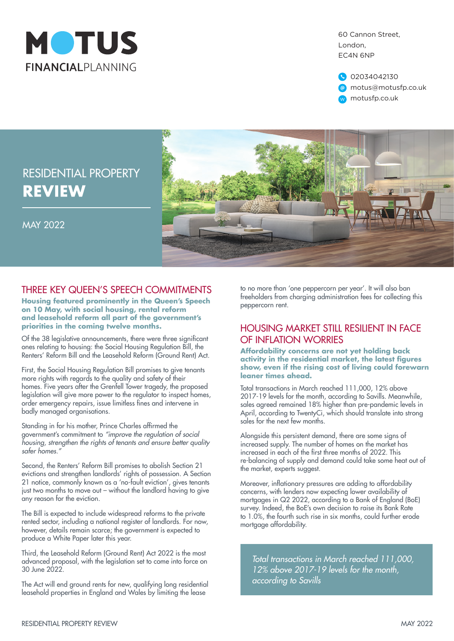

60 Cannon Street, London, EC4N 6NP



# RESIDENTIAL PROPERTY **REVIEW**

MAY 2022



## THREE KEY QUEEN'S SPEECH COMMITMENTS

**Housing featured prominently in the Queen's Speech on 10 May, with social housing, rental reform and leasehold reform all part of the government's priorities in the coming twelve months.**

Of the 38 legislative announcements, there were three significant ones relating to housing: the Social Housing Regulation Bill, the Renters' Reform Bill and the Leasehold Reform (Ground Rent) Act.

First, the Social Housing Regulation Bill promises to give tenants more rights with regards to the quality and safety of their homes. Five years after the Grenfell Tower tragedy, the proposed legislation will give more power to the regulator to inspect homes, order emergency repairs, issue limitless fines and intervene in badly managed organisations.

Standing in for his mother, Prince Charles affirmed the government's commitment to *"improve the regulation of social housing, strengthen the rights of tenants and ensure better quality safer homes."*

Second, the Renters' Reform Bill promises to abolish Section 21 evictions and strengthen landlords' rights of possession. A Section 21 notice, commonly known as a 'no-fault eviction', gives tenants just two months to move out – without the landlord having to give any reason for the eviction.

The Bill is expected to include widespread reforms to the private rented sector, including a national register of landlords. For now, however, details remain scarce; the government is expected to produce a White Paper later this year.

Third, the Leasehold Reform (Ground Rent) Act 2022 is the most advanced proposal, with the legislation set to come into force on 30 June 2022.

The Act will end ground rents for new, qualifying long residential leasehold properties in England and Wales by limiting the lease

to no more than 'one peppercorn per year'. It will also ban freeholders from charging administration fees for collecting this peppercorn rent.

#### HOUSING MARKET STILL RESILIENT IN FACE OF INFLATION WORRIES

**Affordability concerns are not yet holding back activity in the residential market, the latest figures show, even if the rising cost of living could forewarn leaner times ahead.**

Total transactions in March reached 111,000, 12% above 2017-19 levels for the month, according to Savills. Meanwhile, sales agreed remained 18% higher than pre-pandemic levels in April, according to TwentyCi, which should translate into strong sales for the next few months.

Alongside this persistent demand, there are some signs of increased supply. The number of homes on the market has increased in each of the first three months of 2022. This re-balancing of supply and demand could take some heat out of the market, experts suggest.

Moreover, inflationary pressures are adding to affordability concerns, with lenders now expecting lower availability of mortgages in Q2 2022, according to a Bank of England (BoE) survey. Indeed, the BoE's own decision to raise its Bank Rate to 1.0%, the fourth such rise in six months, could further erode mortgage affordability.

*Total transactions in March reached 111,000, 12% above 2017-19 levels for the month, according to Savills*